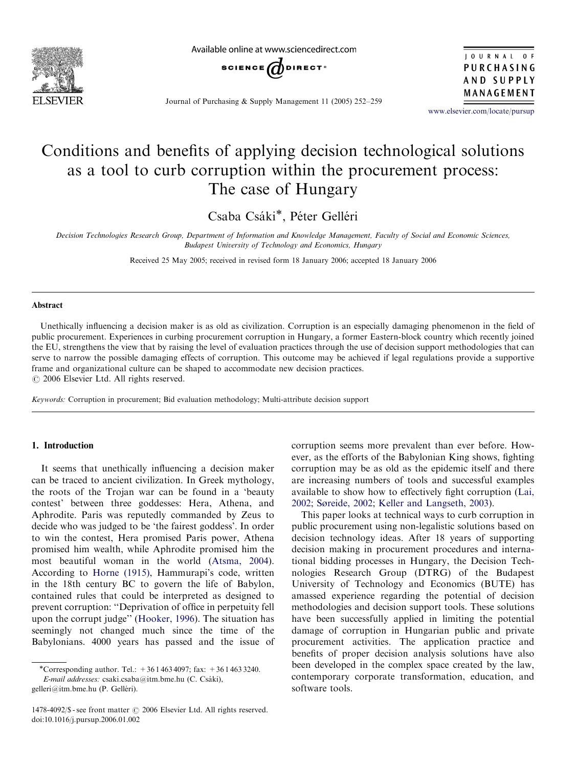

Available online at www.sciencedirect.com



JOURNAL OF PURCHASING AND SUPPLY MANAGEMENT

Journal of Purchasing & Supply Management 11 (2005) 252–259

<www.elsevier.com/locate/pursup>

## Conditions and benefits of applying decision technological solutions as a tool to curb corruption within the procurement process: The case of Hungary

Csaba Csáki\*, Péter Gelléri

Decision Technologies Research Group, Department of Information and Knowledge Management, Faculty of Social and Economic Sciences, Budapest University of Technology and Economics, Hungary

Received 25 May 2005; received in revised form 18 January 2006; accepted 18 January 2006

#### Abstract

Unethically influencing a decision maker is as old as civilization. Corruption is an especially damaging phenomenon in the field of public procurement. Experiences in curbing procurement corruption in Hungary, a former Eastern-block country which recently joined the EU, strengthens the view that by raising the level of evaluation practices through the use of decision support methodologies that can serve to narrow the possible damaging effects of corruption. This outcome may be achieved if legal regulations provide a supportive frame and organizational culture can be shaped to accommodate new decision practices.  $\odot$  2006 Elsevier Ltd. All rights reserved.

Keywords: Corruption in procurement; Bid evaluation methodology; Multi-attribute decision support

### 1. Introduction

It seems that unethically influencing a decision maker can be traced to ancient civilization. In Greek mythology, the roots of the Trojan war can be found in a 'beauty contest' between three goddesses: Hera, Athena, and Aphrodite. Paris was reputedly commanded by Zeus to decide who was judged to be 'the fairest goddess'. In order to win the contest, Hera promised Paris power, Athena promised him wealth, while Aphrodite promised him the most beautiful woman in the world [\(Atsma, 2004\)](#page--1-0). According to [Horne \(1915\),](#page--1-0) Hammurapi's code, written in the 18th century BC to govern the life of Babylon, contained rules that could be interpreted as designed to prevent corruption: ''Deprivation of office in perpetuity fell upon the corrupt judge'' ([Hooker, 1996](#page--1-0)). The situation has seemingly not changed much since the time of the Babylonians. 4000 years has passed and the issue of

E-mail addresses: csaki.csaba@itm.bme.hu (C. Csáki),

gelleri@itm.bme.hu (P. Gelléri).

corruption seems more prevalent than ever before. However, as the efforts of the Babylonian King shows, fighting corruption may be as old as the epidemic itself and there are increasing numbers of tools and successful examples available to show how to effectively fight corruption ([Lai,](#page--1-0) [2002;](#page--1-0) [Søreide, 2002;](#page--1-0) [Keller and Langseth, 2003\)](#page--1-0).

This paper looks at technical ways to curb corruption in public procurement using non-legalistic solutions based on decision technology ideas. After 18 years of supporting decision making in procurement procedures and international bidding processes in Hungary, the Decision Technologies Research Group (DTRG) of the Budapest University of Technology and Economics (BUTE) has amassed experience regarding the potential of decision methodologies and decision support tools. These solutions have been successfully applied in limiting the potential damage of corruption in Hungarian public and private procurement activities. The application practice and benefits of proper decision analysis solutions have also been developed in the complex space created by the law, contemporary corporate transformation, education, and software tools.

<sup>\*</sup>Corresponding author. Tel.:  $+3614634097$ ; fax:  $+3614633240$ .

 $1478-4092$ /\$ - see front matter  $\odot$  2006 Elsevier Ltd. All rights reserved. doi:10.1016/j.pursup.2006.01.002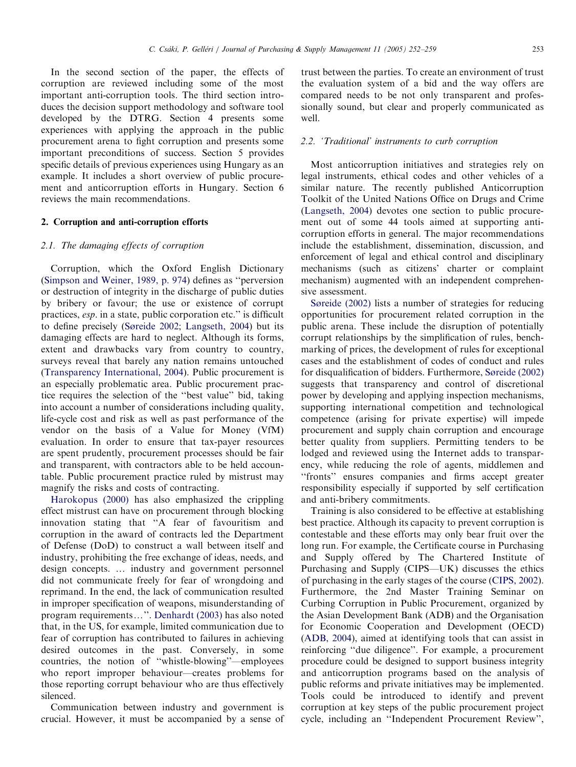In the second section of the paper, the effects of corruption are reviewed including some of the most important anti-corruption tools. The third section introduces the decision support methodology and software tool developed by the DTRG. Section 4 presents some experiences with applying the approach in the public procurement arena to fight corruption and presents some important preconditions of success. Section 5 provides specific details of previous experiences using Hungary as an example. It includes a short overview of public procurement and anticorruption efforts in Hungary. Section 6 reviews the main recommendations.

#### 2. Corruption and anti-corruption efforts

#### 2.1. The damaging effects of corruption

Corruption, which the Oxford English Dictionary ([Simpson and Weiner, 1989, p. 974](#page--1-0)) defines as ''perversion or destruction of integrity in the discharge of public duties by bribery or favour; the use or existence of corrupt practices, esp. in a state, public corporation etc.'' is difficult to define precisely [\(Søreide 2002;](#page--1-0) [Langseth, 2004\)](#page--1-0) but its damaging effects are hard to neglect. Although its forms, extent and drawbacks vary from country to country, surveys reveal that barely any nation remains untouched ([Transparency International, 2004\)](#page--1-0). Public procurement is an especially problematic area. Public procurement practice requires the selection of the ''best value'' bid, taking into account a number of considerations including quality, life-cycle cost and risk as well as past performance of the vendor on the basis of a Value for Money (VfM) evaluation. In order to ensure that tax-payer resources are spent prudently, procurement processes should be fair and transparent, with contractors able to be held accountable. Public procurement practice ruled by mistrust may magnify the risks and costs of contracting.

[Harokopus \(2000\)](#page--1-0) has also emphasized the crippling effect mistrust can have on procurement through blocking innovation stating that ''A fear of favouritism and corruption in the award of contracts led the Department of Defense (DoD) to construct a wall between itself and industry, prohibiting the free exchange of ideas, needs, and design concepts. ... industry and government personnel did not communicate freely for fear of wrongdoing and reprimand. In the end, the lack of communication resulted in improper specification of weapons, misunderstanding of program requirements...". [Denhardt \(2003\)](#page--1-0) has also noted that, in the US, for example, limited communication due to fear of corruption has contributed to failures in achieving desired outcomes in the past. Conversely, in some countries, the notion of ''whistle-blowing''—employees who report improper behaviour—creates problems for those reporting corrupt behaviour who are thus effectively silenced.

Communication between industry and government is crucial. However, it must be accompanied by a sense of trust between the parties. To create an environment of trust the evaluation system of a bid and the way offers are compared needs to be not only transparent and professionally sound, but clear and properly communicated as well.

#### 2.2. 'Traditional' instruments to curb corruption

Most anticorruption initiatives and strategies rely on legal instruments, ethical codes and other vehicles of a similar nature. The recently published Anticorruption Toolkit of the United Nations Office on Drugs and Crime ([Langseth, 2004\)](#page--1-0) devotes one section to public procurement out of some 44 tools aimed at supporting anticorruption efforts in general. The major recommendations include the establishment, dissemination, discussion, and enforcement of legal and ethical control and disciplinary mechanisms (such as citizens' charter or complaint mechanism) augmented with an independent comprehensive assessment.

[Søreide \(2002\)](#page--1-0) lists a number of strategies for reducing opportunities for procurement related corruption in the public arena. These include the disruption of potentially corrupt relationships by the simplification of rules, benchmarking of prices, the development of rules for exceptional cases and the establishment of codes of conduct and rules for disqualification of bidders. Furthermore, [Søreide \(2002\)](#page--1-0) suggests that transparency and control of discretional power by developing and applying inspection mechanisms, supporting international competition and technological competence (arising for private expertise) will impede procurement and supply chain corruption and encourage better quality from suppliers. Permitting tenders to be lodged and reviewed using the Internet adds to transparency, while reducing the role of agents, middlemen and ''fronts'' ensures companies and firms accept greater responsibility especially if supported by self certification and anti-bribery commitments.

Training is also considered to be effective at establishing best practice. Although its capacity to prevent corruption is contestable and these efforts may only bear fruit over the long run. For example, the Certificate course in Purchasing and Supply offered by The Chartered Institute of Purchasing and Supply (CIPS—UK) discusses the ethics of purchasing in the early stages of the course ([CIPS, 2002\)](#page--1-0). Furthermore, the 2nd Master Training Seminar on Curbing Corruption in Public Procurement, organized by the Asian Development Bank (ADB) and the Organisation for Economic Cooperation and Development (OECD) ([ADB, 2004\)](#page--1-0), aimed at identifying tools that can assist in reinforcing ''due diligence''. For example, a procurement procedure could be designed to support business integrity and anticorruption programs based on the analysis of public reforms and private initiatives may be implemented. Tools could be introduced to identify and prevent corruption at key steps of the public procurement project cycle, including an ''Independent Procurement Review'',